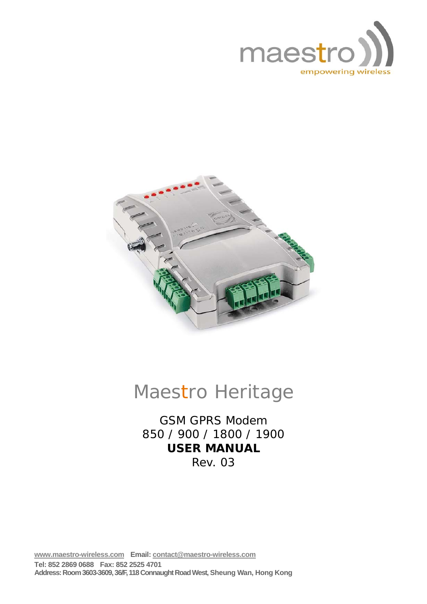



# Maestro Heritage

GSM GPRS Modem 850 / 900 / 1800 / 1900 **USER MANUAL**  Rev. 03

**www.maestro-wireless.com Email: contact@maestro-wireless.com Tel: 852 2869 0688 Fax: 852 2525 4701 Address: Room 3603-3609, 36/F, 118 Connaught Road West, Sheung Wan, Hong Kong**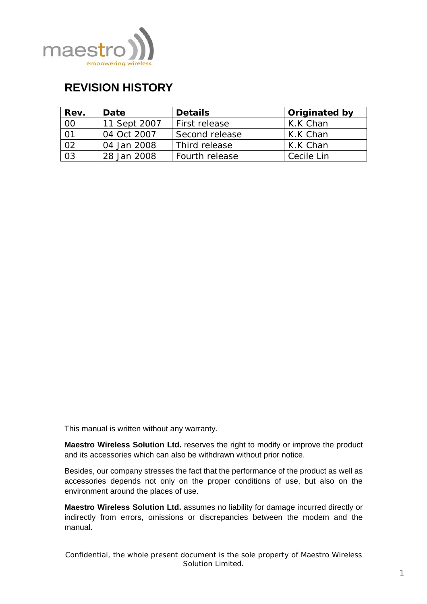<span id="page-1-0"></span>

## **REVISION HISTORY**

| Rev. | Date         | <b>Details</b> | Originated by |
|------|--------------|----------------|---------------|
| 00   | 11 Sept 2007 | First release  | K.K Chan      |
| 01   | 04 Oct 2007  | Second release | K.K Chan      |
| 02   | 04 Jan 2008  | Third release  | K.K Chan      |
| 03   | 28 Jan 2008  | Fourth release | Cecile Lin    |

This manual is written without any warranty.

**Maestro Wireless Solution Ltd.** reserves the right to modify or improve the product and its accessories which can also be withdrawn without prior notice.

Besides, our company stresses the fact that the performance of the product as well as accessories depends not only on the proper conditions of use, but also on the environment around the places of use.

**Maestro Wireless Solution Ltd.** assumes no liability for damage incurred directly or indirectly from errors, omissions or discrepancies between the modem and the manual.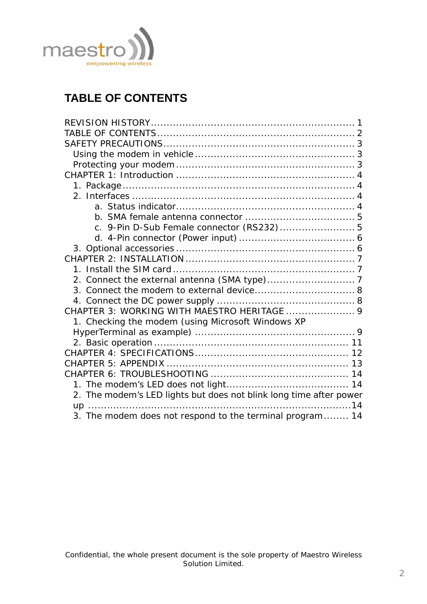<span id="page-2-0"></span>

## **TABLE OF CONTENTS**

| c. 9-Pin D-Sub Female connector (RS232) 5                          |  |
|--------------------------------------------------------------------|--|
|                                                                    |  |
|                                                                    |  |
|                                                                    |  |
|                                                                    |  |
|                                                                    |  |
|                                                                    |  |
|                                                                    |  |
| CHAPTER 3: WORKING WITH MAESTRO HERITAGE  9                        |  |
| 1. Checking the modem (using Microsoft Windows XP                  |  |
|                                                                    |  |
|                                                                    |  |
|                                                                    |  |
|                                                                    |  |
|                                                                    |  |
|                                                                    |  |
| 2. The modem's LED lights but does not blink long time after power |  |
|                                                                    |  |
| 3. The modem does not respond to the terminal program 14           |  |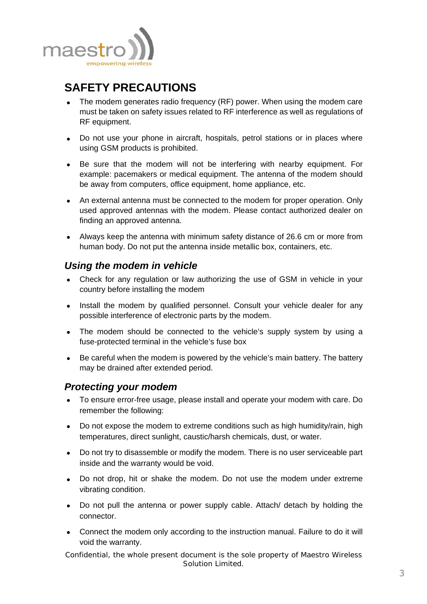<span id="page-3-0"></span>

## **SAFETY PRECAUTIONS**

- The modem generates radio frequency (RF) power. When using the modem care must be taken on safety issues related to RF interference as well as regulations of RF equipment.
- Do not use your phone in aircraft, hospitals, petrol stations or in places where using GSM products is prohibited.
- Be sure that the modem will not be interfering with nearby equipment. For example: pacemakers or medical equipment. The antenna of the modem should be away from computers, office equipment, home appliance, etc.
- An external antenna must be connected to the modem for proper operation. Only used approved antennas with the modem. Please contact authorized dealer on finding an approved antenna.
- Always keep the antenna with minimum safety distance of 26.6 cm or more from human body. Do not put the antenna inside metallic box, containers, etc.

#### *Using the modem in vehicle*

- Check for any regulation or law authorizing the use of GSM in vehicle in your country before installing the modem
- Install the modem by qualified personnel. Consult your vehicle dealer for any possible interference of electronic parts by the modem.
- The modem should be connected to the vehicle's supply system by using a fuse-protected terminal in the vehicle's fuse box
- Be careful when the modem is powered by the vehicle's main battery. The battery may be drained after extended period.

#### *Protecting your modem*

- To ensure error-free usage, please install and operate your modem with care. Do remember the following:
- Do not expose the modem to extreme conditions such as high humidity/rain, high temperatures, direct sunlight, caustic/harsh chemicals, dust, or water.
- Do not try to disassemble or modify the modem. There is no user serviceable part inside and the warranty would be void.
- Do not drop, hit or shake the modem. Do not use the modem under extreme vibrating condition.
- Do not pull the antenna or power supply cable. Attach/ detach by holding the connector.
- Connect the modem only according to the instruction manual. Failure to do it will void the warranty.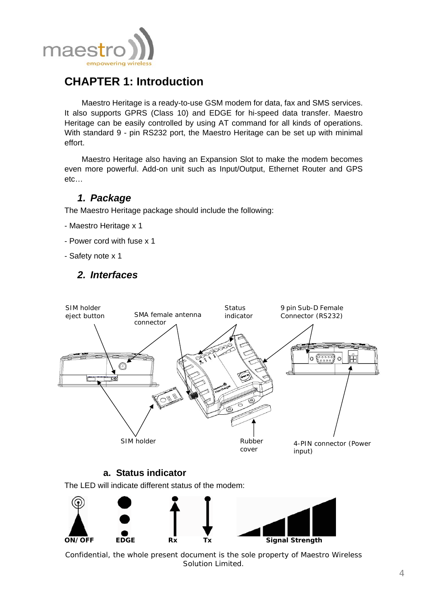<span id="page-4-0"></span>

## **CHAPTER 1: Introduction**

Maestro Heritage is a ready-to-use GSM modem for data, fax and SMS services. It also supports GPRS (Class 10) and EDGE for hi-speed data transfer. Maestro Heritage can be easily controlled by using AT command for all kinds of operations. With standard 9 - pin RS232 port, the Maestro Heritage can be set up with minimal effort.

Maestro Heritage also having an Expansion Slot to make the modem becomes even more powerful. Add-on unit such as Input/Output, Ethernet Router and GPS etc…

### *1. Package*

The Maestro Heritage package should include the following:

- Maestro Heritage x 1
- Power cord with fuse x 1
- Safety note x 1

## *2. Interfaces*



#### **a. Status indicator**

The LED will indicate different status of the modem:

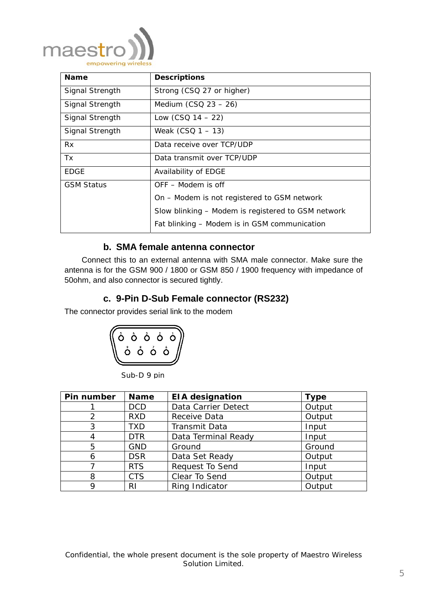<span id="page-5-0"></span>

| <b>Name</b>                                  | <b>Descriptions</b>                                |  |
|----------------------------------------------|----------------------------------------------------|--|
| Signal Strength                              | Strong (CSQ 27 or higher)                          |  |
| Signal Strength                              | Medium $(CSQ 23 - 26)$                             |  |
| Signal Strength                              | Low $(CSO 14 - 22)$                                |  |
| Signal Strength                              | Weak $(CSO 1 - 13)$                                |  |
| <b>Rx</b>                                    | Data receive over TCP/UDP                          |  |
| Tx.                                          | Data transmit over TCP/UDP                         |  |
| EDGE                                         | Availability of EDGE                               |  |
| <b>GSM Status</b>                            | OFF – Modem is off                                 |  |
|                                              | On – Modem is not registered to GSM network        |  |
|                                              | Slow blinking – Modem is registered to GSM network |  |
| Fat blinking – Modem is in GSM communication |                                                    |  |

#### **b. SMA female antenna connector**

Connect this to an external antenna with SMA male connector. Make sure the antenna is for the GSM 900 / 1800 or GSM 850 / 1900 frequency with impedance of 50ohm, and also connector is secured tightly.

#### **c. 9-Pin D-Sub Female connector (RS232)**

The connector provides serial link to the modem



Sub-D 9 pin

| Pin number | <b>Name</b> | <b>EIA designation</b> | <b>Type</b> |
|------------|-------------|------------------------|-------------|
|            | <b>DCD</b>  | Data Carrier Detect    | Output      |
| 2          | <b>RXD</b>  | Receive Data           | Output      |
| 3          | TXD         | Transmit Data          | Input       |
| 4          | <b>DTR</b>  | Data Terminal Ready    | Input       |
| 5          | <b>GND</b>  | Ground                 | Ground      |
| 6          | <b>DSR</b>  | Data Set Ready         | Output      |
|            | <b>RTS</b>  | <b>Request To Send</b> | Input       |
| 8          | <b>CTS</b>  | Clear To Send          | Output      |
| 9          | RI          | Ring Indicator         | Output      |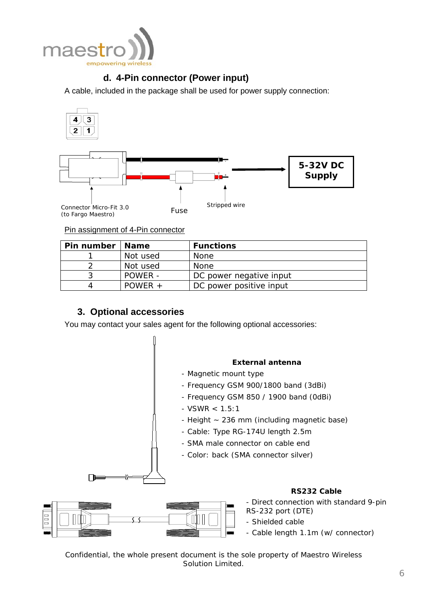<span id="page-6-0"></span>

### **d. 4-Pin connector (Power input)**

A cable, included in the package shall be used for power supply connection:



#### Pin assignment of 4-Pin connector

| Pin number   Name |           | <b>Functions</b>        |
|-------------------|-----------|-------------------------|
|                   | Not used  | None                    |
|                   | Not used  | None                    |
|                   | POWER -   | DC power negative input |
|                   | $POWFR +$ | DC power positive input |

#### **3. Optional accessories**

You may contact your sales agent for the following optional accessories:

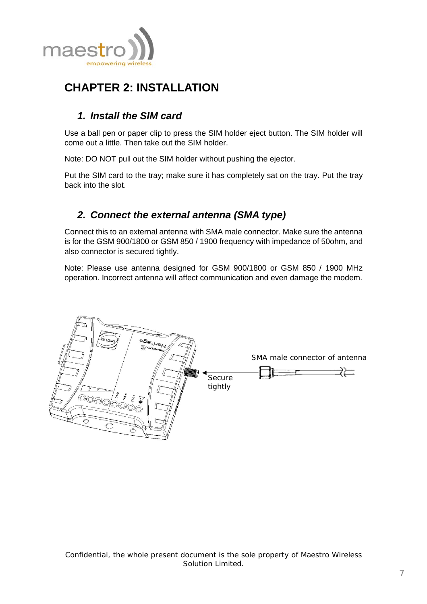<span id="page-7-0"></span>

## **CHAPTER 2: INSTALLATION**

## *1. Install the SIM card*

Use a ball pen or paper clip to press the SIM holder eject button. The SIM holder will come out a little. Then take out the SIM holder.

Note: DO NOT pull out the SIM holder without pushing the ejector.

Put the SIM card to the tray; make sure it has completely sat on the tray. Put the tray back into the slot.

## *2. Connect the external antenna (SMA type)*

Connect this to an external antenna with SMA male connector. Make sure the antenna is for the GSM 900/1800 or GSM 850 / 1900 frequency with impedance of 50ohm, and also connector is secured tightly.

Note: Please use antenna designed for GSM 900/1800 or GSM 850 / 1900 MHz operation. Incorrect antenna will affect communication and even damage the modem.

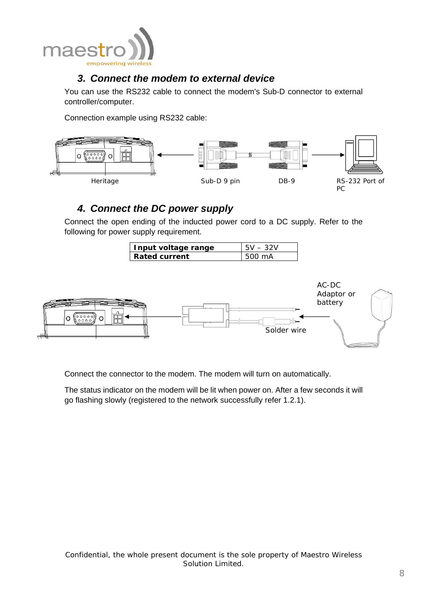<span id="page-8-0"></span>

### *3. Connect the modem to external device*

You can use the RS232 cable to connect the modem's Sub-D connector to external controller/computer.

Connection example using RS232 cable:



## *4. Connect the DC power supply*

Connect the open ending of the inducted power cord to a DC supply. Refer to the following for power supply requirement.

| Input voltage range | $5V - 32V$        |
|---------------------|-------------------|
| Rated current       | $1500 \text{ mA}$ |



Connect the connector to the modem. The modem will turn on automatically.

The status indicator on the modem will be lit when power on. After a few seconds it will go flashing slowly (registered to the network successfully refer 1.2.1).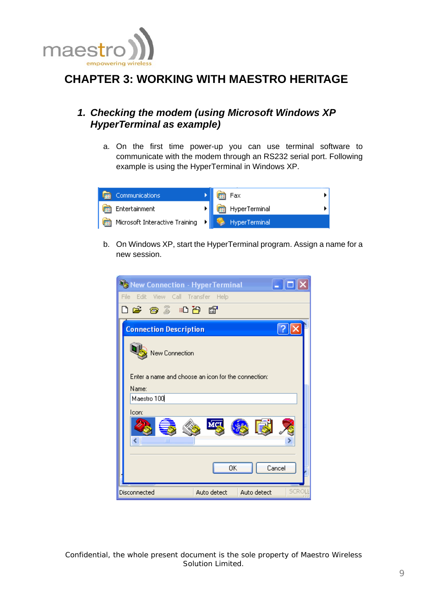<span id="page-9-0"></span>

## **CHAPTER 3: WORKING WITH MAESTRO HERITAGE**

### *1. Checking the modem (using Microsoft Windows XP HyperTerminal as example)*

a. On the first time power-up you can use terminal software to communicate with the modem through an RS232 serial port. Following example is using the HyperTerminal in Windows XP.



b. On Windows XP, start the HyperTerminal program. Assign a name for a new session.

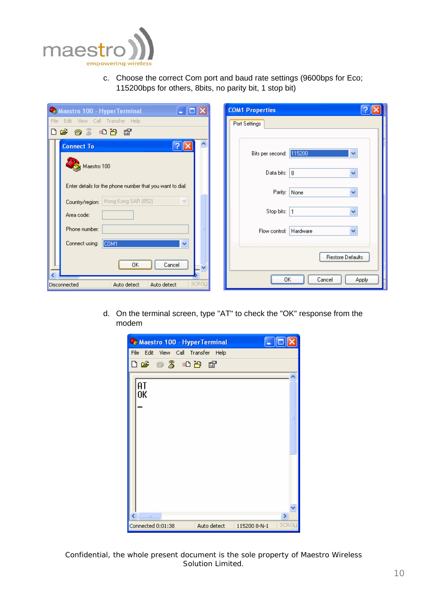

c. Choose the correct Com port and baud rate settings (9600bps for Eco; 115200bps for others, 8bits, no parity bit, 1 stop bit)

| $\Box$ d $\times$<br>Maestro 100 - HyperTerminal                          | <b>COM1 Properties</b>                  |
|---------------------------------------------------------------------------|-----------------------------------------|
| Edit View Call Transfer Help<br>File                                      | Port Settings                           |
| $D \ncong \ncong \ncong \ncong \ncong \ncong$                             |                                         |
| <b>Connect To</b>                                                         | Bits per second: 115200<br>$\checkmark$ |
| Maestro 100                                                               | Data bits: 8                            |
| Enter details for the phone number that you want to dial:<br>$\checkmark$ | Parity: None                            |
| Country/region: Hong Kong SAR (852)<br>Area code:                         | Stop bits: 1                            |
| Phone number:                                                             | Flow control: Hardware                  |
| Connect using:<br>COM1<br>$\checkmark$<br>OΚ<br>Cancel<br>$\checkmark$    | Restore Defaults                        |
| <b>SCROU</b><br>Auto detect<br>Auto detect<br>Disconnected                | OK<br>Cancel<br>Apply                   |

d. On the terminal screen, type "AT" to check the "OK" response from the modem

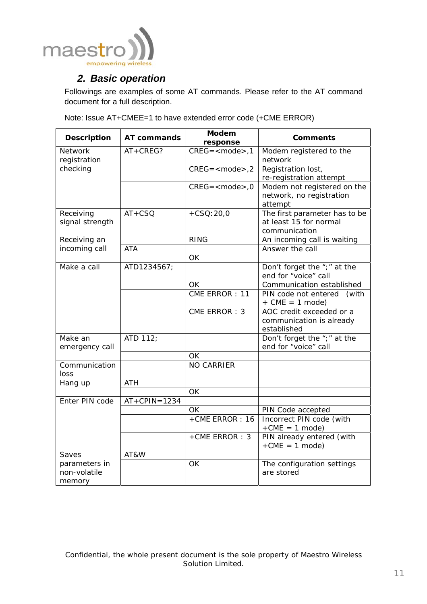<span id="page-11-0"></span>

### *2. Basic operation*

Followings are examples of some AT commands. Please refer to the AT command document for a full description.

Note: Issue AT+CMEE=1 to have extended error code (+CME ERROR)

| <b>Description</b>                      | AT commands    | <b>Modem</b><br>response | <b>Comments</b>                                                          |
|-----------------------------------------|----------------|--------------------------|--------------------------------------------------------------------------|
| <b>Network</b><br>registration          | AT+CREG?       | $CREG =  1$              | Modem registered to the<br>network                                       |
| checking                                |                | $CREG =  2$              | Registration lost,<br>re-registration attempt                            |
|                                         |                | $CREG = <$ mode $>$ ,0   | Modem not registered on the<br>network, no registration<br>attempt       |
| Receiving<br>signal strength            | $AT+CSQ$       | $+CSQ:20,0$              | The first parameter has to be<br>at least 15 for normal<br>communication |
| Receiving an                            |                | <b>RING</b>              | An incoming call is waiting                                              |
| incoming call                           | <b>ATA</b>     | OK                       | Answer the call                                                          |
| Make a call                             | ATD1234567;    |                          | Don't forget the ";" at the<br>end for "voice" call                      |
|                                         |                | <b>OK</b>                | Communication established                                                |
|                                         |                | CME ERROR: 11            | PIN code not entered (with<br>$+$ CME = 1 mode)                          |
|                                         |                | CME ERROR: 3             | AOC credit exceeded or a<br>communication is already<br>established      |
| Make an<br>emergency call               | ATD 112;       |                          | Don't forget the ";" at the<br>end for "voice" call                      |
|                                         |                | <b>OK</b>                |                                                                          |
| Communication<br>loss                   |                | <b>NO CARRIER</b>        |                                                                          |
| Hang up                                 | <b>ATH</b>     |                          |                                                                          |
|                                         |                | <b>OK</b>                |                                                                          |
| Enter PIN code                          | $AT+CPIN=1234$ | <b>OK</b>                |                                                                          |
|                                         |                | +CME ERROR: 16           | PIN Code accepted<br>Incorrect PIN code (with<br>$+CME = 1 mode$         |
|                                         |                | +CME ERROR: 3            | PIN already entered (with<br>$+CME = 1 mode$                             |
| Saves                                   | AT&W           |                          |                                                                          |
| parameters in<br>non-volatile<br>memory |                | OK                       | The configuration settings<br>are stored                                 |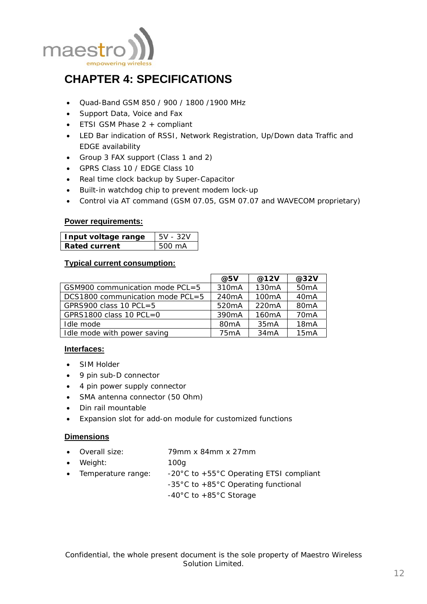<span id="page-12-0"></span>

## **CHAPTER 4: SPECIFICATIONS**

- Quad-Band GSM 850 / 900 / 1800 /1900 MHz
- Support Data, Voice and Fax
- ETSI GSM Phase 2 + compliant
- LED Bar indication of RSSI, Network Registration, Up/Down data Traffic and EDGE availability
- Group 3 FAX support (Class 1 and 2)
- GPRS Class 10 / EDGE Class 10
- Real time clock backup by Super-Capacitor
- Built-in watchdog chip to prevent modem lock-up
- Control via AT command (GSM 07.05, GSM 07.07 and WAVECOM proprietary)

#### **Power requirements:**

| Input voltage range | $5V - 32V$ |
|---------------------|------------|
| Rated current       | 500 mA     |

#### **Typical current consumption:**

|                                  | @5V                | @12V               | @32V              |
|----------------------------------|--------------------|--------------------|-------------------|
| GSM900 communication mode PCL=5  | 310mA              | 130mA              | 50 <sub>m</sub> A |
| DCS1800 communication mode PCL=5 | 240 <sub>m</sub> A | 100mA              | 40 <sub>m</sub> A |
| GPRS900 class 10 PCL=5           | 520 <sub>m</sub> A | 220 <sub>m</sub> A | 80 <sub>m</sub> A |
| GPRS1800 class 10 PCL=0          | 390 <sub>m</sub> A | 160 <sub>m</sub> A | 70 <sub>m</sub> A |
| Idle mode                        | 80 <sub>m</sub> A  | 35mA               | 18mA              |
| Idle mode with power saving      | 75 <sub>m</sub> A  | 34mA               | 15mA              |

#### **Interfaces:**

- SIM Holder
- 9 pin sub-D connector
- 4 pin power supply connector
- SMA antenna connector (50 Ohm)
- Din rail mountable
- Expansion slot for add-on module for customized functions

#### **Dimensions**

- Overall size: 79mm x 84mm x 27mm
- Weight: 100g
- Temperature range:  $-20^{\circ}$ C to  $+55^{\circ}$ C Operating ETSI compliant -35°C to +85°C Operating functional -40°C to +85°C Storage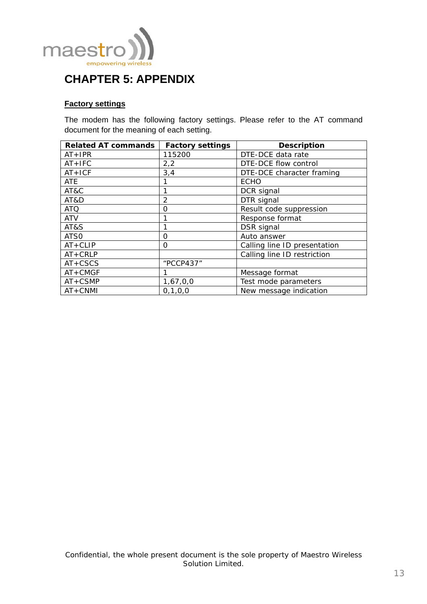<span id="page-13-0"></span>

## **CHAPTER 5: APPENDIX**

#### **Factory settings**

The modem has the following factory settings. Please refer to the AT command document for the meaning of each setting.

| <b>Related AT commands</b> | <b>Factory settings</b> | <b>Description</b>           |
|----------------------------|-------------------------|------------------------------|
| $AT + IPR$                 | 115200                  | DTE-DCE data rate            |
| $AT + IFC$                 | 2,2                     | DTE-DCE flow control         |
| $AT+ICF$                   | 3,4                     | DTE-DCE character framing    |
| ATE                        |                         | <b>ECHO</b>                  |
| AT&C                       |                         | DCR signal                   |
| AT&D                       | 2                       | DTR signal                   |
| <b>ATQ</b>                 | O                       | Result code suppression      |
| <b>ATV</b>                 |                         | Response format              |
| AT&S                       |                         | DSR signal                   |
| ATS0                       | $\Omega$                | Auto answer                  |
| $AT+CLIP$                  | Ω                       | Calling line ID presentation |
| $AT + CRLP$                |                         | Calling line ID restriction  |
| $AT+CSCS$                  | "PCCP437"               |                              |
| $AT+CMGF$                  |                         | Message format               |
| $AT+CSMP$                  | 1,67,0,0                | Test mode parameters         |
| $AT+CNMI$                  | 0, 1, 0, 0              | New message indication       |